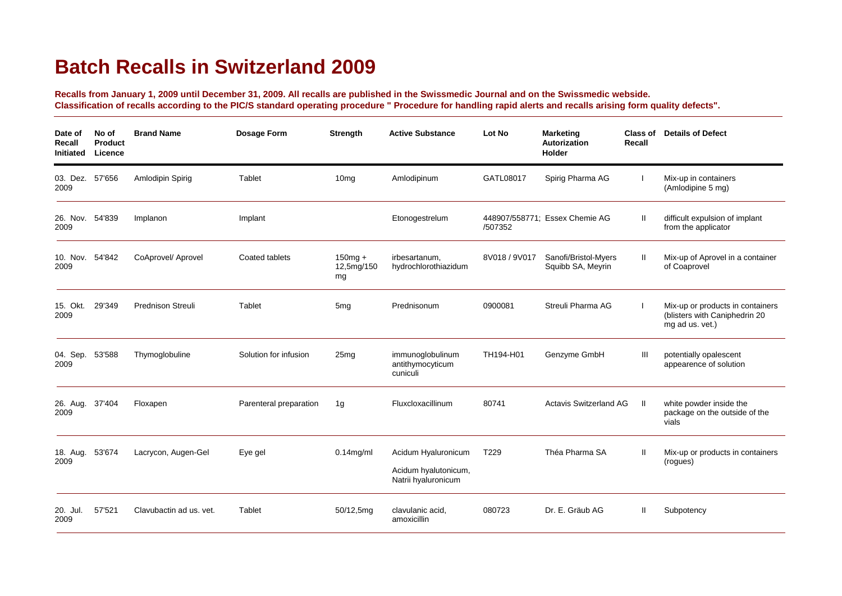## **Batch Recalls in Switzerland 2009**

**Recalls from January 1, 2009 until December 31, 2009. All recalls are published in the Swissmedic Journal and on the Swissmedic webside. Classification of recalls according to the PIC/S standard operating procedure " Procedure for handling rapid alerts and recalls arising form quality defects".**

| Date of<br>Recall<br>Initiated | No of<br><b>Product</b><br>Licence | <b>Brand Name</b>        | Dosage Form            | Strength                       | <b>Active Substance</b>                                            | <b>Lot No</b>    | <b>Marketing</b><br>Autorization<br>Holder | Class of<br>Recall | <b>Details of Defect</b>                                                             |
|--------------------------------|------------------------------------|--------------------------|------------------------|--------------------------------|--------------------------------------------------------------------|------------------|--------------------------------------------|--------------------|--------------------------------------------------------------------------------------|
| 03. Dez. 57'656<br>2009        |                                    | Amlodipin Spirig         | Tablet                 | 10 <sub>mg</sub>               | Amlodipinum                                                        | GATL08017        | Spirig Pharma AG                           |                    | Mix-up in containers<br>(Amlodipine 5 mg)                                            |
| 26. Nov. 54'839<br>2009        |                                    | Implanon                 | Implant                |                                | Etonogestrelum                                                     | /507352          | 448907/558771; Essex Chemie AG             | H                  | difficult expulsion of implant<br>from the applicator                                |
| 10. Nov. 54'842<br>2009        |                                    | CoAprovel/ Aprovel       | Coated tablets         | $150$ mg +<br>12,5mg/150<br>mg | irbesartanum,<br>hydrochlorothiazidum                              | 8V018 / 9V017    | Sanofi/Bristol-Myers<br>Squibb SA, Meyrin  | $\mathbf{H}$       | Mix-up of Aprovel in a container<br>of Coaprovel                                     |
| 15. Okt.<br>2009               | 29'349                             | <b>Prednison Streuli</b> | Tablet                 | 5 <sub>mg</sub>                | Prednisonum                                                        | 0900081          | Streuli Pharma AG                          |                    | Mix-up or products in containers<br>(blisters with Caniphedrin 20<br>mg ad us. vet.) |
| 04. Sep.<br>2009               | 53'588                             | Thymoglobuline           | Solution for infusion  | 25mg                           | immunoglobulinum<br>antithymocyticum<br>cuniculi                   | TH194-H01        | Genzyme GmbH                               | Ш                  | potentially opalescent<br>appearence of solution                                     |
| 26. Aug.<br>2009               | 37'404                             | Floxapen                 | Parenteral preparation | 1g                             | Fluxcloxacillinum                                                  | 80741            | <b>Actavis Switzerland AG</b>              | Ш                  | white powder inside the<br>package on the outside of the<br>vials                    |
| 18. Aug.<br>2009               | 53'674                             | Lacrycon, Augen-Gel      | Eye gel                | $0.14$ mg/ml                   | Acidum Hyaluronicum<br>Acidum hyalutonicum,<br>Natrii hyaluronicum | T <sub>229</sub> | Théa Pharma SA                             | $\mathbf{H}$       | Mix-up or products in containers<br>(rogues)                                         |
| 20. Jul.<br>2009               | 57'521                             | Clavubactin ad us. vet.  | Tablet                 | 50/12,5mg                      | clavulanic acid.<br>amoxicillin                                    | 080723           | Dr. E. Gräub AG                            | Ш                  | Subpotency                                                                           |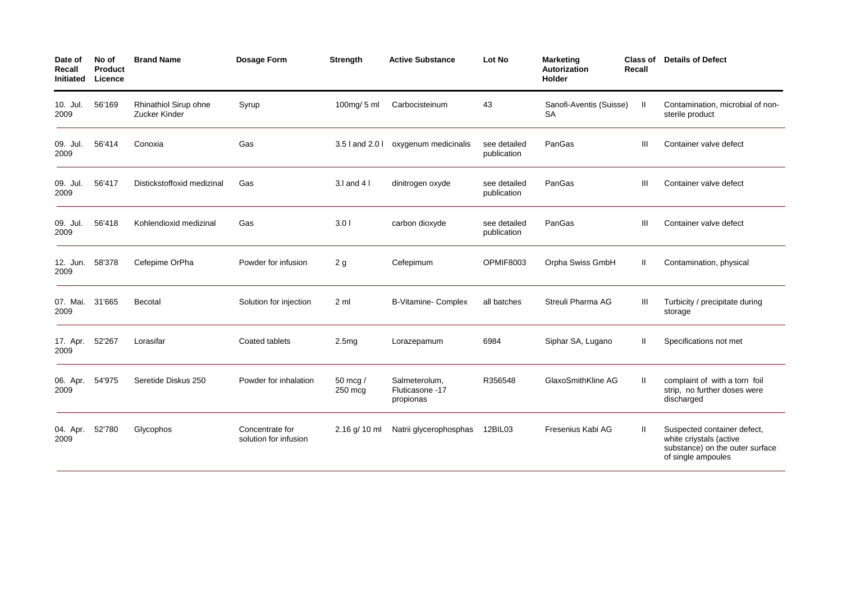| Date of<br>Recall<br><b>Initiated</b> | No of<br><b>Product</b><br>Licence | <b>Brand Name</b>                      | <b>Dosage Form</b>                       | <b>Strength</b>     | <b>Active Substance</b>                       | Lot No                      | <b>Marketing</b><br><b>Autorization</b><br><b>Holder</b> | <b>Class of</b><br>Recall | <b>Details of Defect</b>                                                                                        |
|---------------------------------------|------------------------------------|----------------------------------------|------------------------------------------|---------------------|-----------------------------------------------|-----------------------------|----------------------------------------------------------|---------------------------|-----------------------------------------------------------------------------------------------------------------|
| 10. Jul.<br>2009                      | 56'169                             | Rhinathiol Sirup ohne<br>Zucker Kinder | Syrup                                    | $100$ mg/ $5$ ml    | Carbocisteinum                                | 43                          | Sanofi-Aventis (Suisse)<br><b>SA</b>                     | Ш                         | Contamination, microbial of non-<br>sterile product                                                             |
| 09. Jul.<br>2009                      | 56'414                             | Conoxia                                | Gas                                      | 3.5 l and 2.0 l     | oxygenum medicinalis                          | see detailed<br>publication | PanGas                                                   | Ш                         | Container valve defect                                                                                          |
| 09. Jul.<br>2009                      | 56'417                             | Distickstoffoxid medizinal             | Gas                                      | $3.1$ and $41$      | dinitrogen oxyde                              | see detailed<br>publication | PanGas                                                   | Ш                         | Container valve defect                                                                                          |
| 09. Jul.<br>2009                      | 56'418                             | Kohlendioxid medizinal                 | Gas                                      | 3.01                | carbon dioxyde                                | see detailed<br>publication | PanGas                                                   | Ш                         | Container valve defect                                                                                          |
| 12. Jun.<br>2009                      | 58'378                             | Cefepime OrPha                         | Powder for infusion                      | 2g                  | Cefepimum                                     | OPMIF8003                   | Orpha Swiss GmbH                                         | Ш                         | Contamination, physical                                                                                         |
| 07. Mai.<br>2009                      | 31'665                             | Becotal                                | Solution for injection                   | 2 <sub>m</sub>      | <b>B-Vitamine- Complex</b>                    | all batches                 | Streuli Pharma AG                                        | Ш                         | Turbicity / precipitate during<br>storage                                                                       |
| 17. Apr.<br>2009                      | 52'267                             | Lorasifar                              | Coated tablets                           | 2.5mg               | Lorazepamum                                   | 6984                        | Siphar SA, Lugano                                        | Ш.                        | Specifications not met                                                                                          |
| 06. Apr.<br>2009                      | 54'975                             | Seretide Diskus 250                    | Powder for inhalation                    | 50 mcg /<br>250 mcg | Salmeterolum.<br>Fluticasone -17<br>propionas | R356548                     | GlaxoSmithKline AG                                       | Ш                         | complaint of with a torn foil<br>strip, no further doses were<br>discharged                                     |
| 04. Apr.<br>2009                      | 52'780                             | Glycophos                              | Concentrate for<br>solution for infusion | $2.16$ g/ 10 ml     | Natrii glycerophosphas                        | 12BIL03                     | Fresenius Kabi AG                                        | н                         | Suspected container defect,<br>white criystals (active<br>substance) on the outer surface<br>of single ampoules |